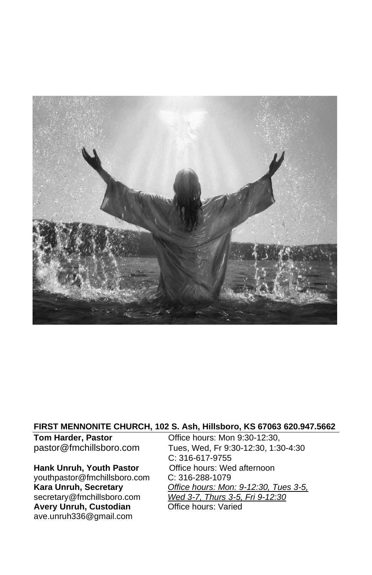

#### **FIRST MENNONITE CHURCH, 102 S. Ash, Hillsboro, KS 67063 620.947.5662**

**Hank Unruh, Youth Pastor** Office hours: We<br>vouthpastor@fmchillsboro.com C: 316-288-1079 [youthpastor@fmchillsboro.com](mailto:youthpastor@fmchillsboro.com)<br>Kara Unruh, Secretary **Avery Unruh, Custodian** ave.unruh336@gmail.com

**Tom Harder, Pastor Office hours: Mon 9:30-12:30,** pastor@fmchillsboro.com Tues, Wed, Fr 9:30-12:30, 1:30-4:30 C: 316-617-9755<br>Office hours: Wed afternoon **Kara Unruh, Secretary** *Office hours: Mon: 9-12:30, Tues 3-5, secretary@fmchillsboro.com <i>Wed 3-7, Thurs 3-5, Fri 9-12:30* **Wed 3-7, Thurs 3-5, Fri 9-12:30**<br>Office hours: Varied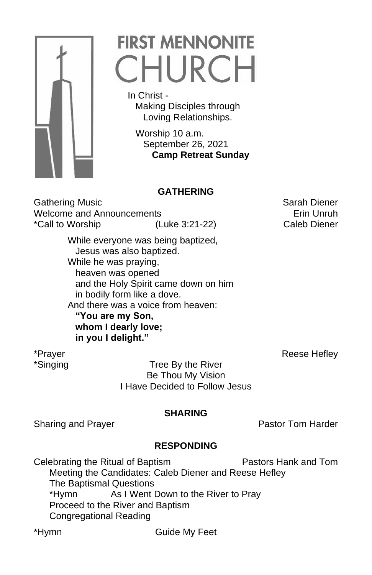

# **FIRST MENNONITE** CHURCH

 In Christ - Making Disciples through Loving Relationships.

 Worship 10 a.m. September 26, 2021 **Camp Retreat Sunday**

# **GATHERING**

Gathering Music **Sarah Diener** Sarah Diener Welcome and Announcements **Example 20** Erin Unruh \*Call to Worship (Luke 3:21-22) Caleb Diener

> While everyone was being baptized, Jesus was also baptized. While he was praying, heaven was opened and the Holy Spirit came down on him in bodily form like a dove. And there was a voice from heaven: **"You are my Son, whom I dearly love; in you I delight."**

\*Prayer research and the settlement of the settlement of the Reese Hefley research and the settlement of the s

\*Singing Tree By the River Be Thou My Vision I Have Decided to Follow Jesus

### **SHARING**

Sharing and Prayer **Pastor Tom Harder** Pastor Tom Harder

# **RESPONDING**

Celebrating the Ritual of Baptism Pastors Hank and Tom Meeting the Candidates: Caleb Diener and Reese Hefley The Baptismal Questions \*Hymn As I Went Down to the River to Pray Proceed to the River and Baptism Congregational Reading

\*Hymn Guide My Feet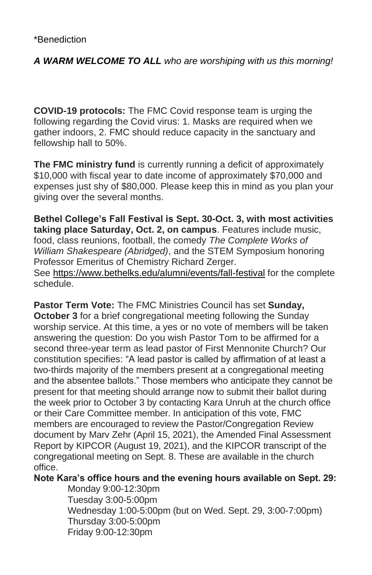#### \*Benediction

*A WARM WELCOME TO ALL who are worshiping with us this morning!*

**COVID-19 protocols:** The FMC Covid response team is urging the following regarding the Covid virus: 1. Masks are required when we gather indoors, 2. FMC should reduce capacity in the sanctuary and fellowship hall to 50%.

**The FMC ministry fund** is currently running a deficit of approximately \$10,000 with fiscal year to date income of approximately \$70,000 and expenses just shy of \$80,000. Please keep this in mind as you plan your giving over the several months.

**Bethel College's Fall Festival is Sept. 30-Oct. 3, with most activities taking place Saturday, Oct. 2, on campus**. Features include music, food, class reunions, football, the comedy *The Complete Works of William Shakespeare (Abridged)*, and the STEM Symposium honoring Professor Emeritus of Chemistry Richard Zerger. See <https://www.bethelks.edu/alumni/events/fall-festival> for the complete schedule.

**Pastor Term Vote:** The FMC Ministries Council has set **Sunday, October 3** for a brief congregational meeting following the Sunday worship service. At this time, a yes or no vote of members will be taken answering the question: Do you wish Pastor Tom to be affirmed for a second three-year term as lead pastor of First Mennonite Church? Our constitution specifies: "A lead pastor is called by affirmation of at least a two-thirds majority of the members present at a congregational meeting and the absentee ballots." Those members who anticipate they cannot be present for that meeting should arrange now to submit their ballot during the week prior to October 3 by contacting Kara Unruh at the church office or their Care Committee member. In anticipation of this vote, FMC members are encouraged to review the Pastor/Congregation Review document by Marv Zehr (April 15, 2021), the Amended Final Assessment Report by KIPCOR (August 19, 2021), and the KIPCOR transcript of the congregational meeting on Sept. 8. These are available in the church office.

### **Note Kara's office hours and the evening hours available on Sept. 29:**

Monday 9:00-12:30pm Tuesday 3:00-5:00pm Wednesday 1:00-5:00pm (but on Wed. Sept. 29, 3:00-7:00pm) Thursday 3:00-5:00pm Friday 9:00-12:30pm